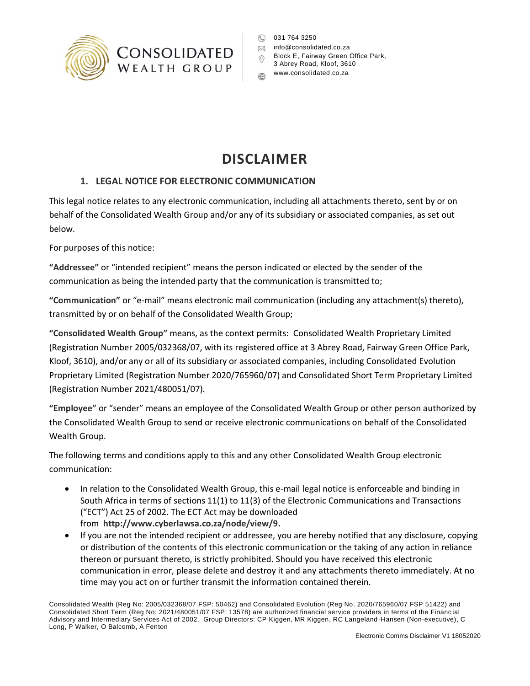

C 031 764 3250

- **M** info@consolidated.co.za
- Block E, Fairway Green Office Park,  $\odot$
- 3 Abrey Road, Kloof, 3610
- www.consolidated.co.za

## **DISCLAIMER**

## **1. LEGAL NOTICE FOR ELECTRONIC COMMUNICATION**

This legal notice relates to any electronic communication, including all attachments thereto, sent by or on behalf of the Consolidated Wealth Group and/or any of its subsidiary or associated companies, as set out below.

For purposes of this notice:

**"Addressee"** or "intended recipient" means the person indicated or elected by the sender of the communication as being the intended party that the communication is transmitted to;

**"Communication"** or "e-mail" means electronic mail communication (including any attachment(s) thereto), transmitted by or on behalf of the Consolidated Wealth Group;

**"Consolidated Wealth Group"** means, as the context permits: Consolidated Wealth Proprietary Limited (Registration Number 2005/032368/07, with its registered office at 3 Abrey Road, Fairway Green Office Park, Kloof, 3610), and/or any or all of its subsidiary or associated companies, including Consolidated Evolution Proprietary Limited (Registration Number 2020/765960/07) and Consolidated Short Term Proprietary Limited (Registration Number 2021/480051/07).

**"Employee"** or "sender" means an employee of the Consolidated Wealth Group or other person authorized by the Consolidated Wealth Group to send or receive electronic communications on behalf of the Consolidated Wealth Group.

The following terms and conditions apply to this and any other Consolidated Wealth Group electronic communication:

- In relation to the Consolidated Wealth Group, this e-mail legal notice is enforceable and binding in South Africa in terms of sections 11(1) to 11(3) of the Electronic Communications and Transactions ("ECT") Act 25 of 2002. The ECT Act may be downloaded from **[http://www.cyberlawsa.co.za/node/view/9.](http://www.cyberlawsa.co.za/node/view/9)**
- If you are not the intended recipient or addressee, you are hereby notified that any disclosure, copying or distribution of the contents of this electronic communication or the taking of any action in reliance thereon or pursuant thereto, is strictly prohibited. Should you have received this electronic communication in error, please delete and destroy it and any attachments thereto immediately. At no time may you act on or further transmit the information contained therein.

Consolidated Wealth (Reg No: 2005/032368/07 FSP: 50462) and Consolidated Evolution (Reg No. 2020/765960/07 FSP 51422) and Consolidated Short Term (Reg No: 2021/480051/07 FSP: 13578) are authorized financial service providers in terms of the Financ ial Advisory and Intermediary Services Act of 2002. Group Directors: CP Kiggen, MR Kiggen, RC Langeland -Hansen (Non-executive), C Long, P Walker, O Balcomb, A Fenton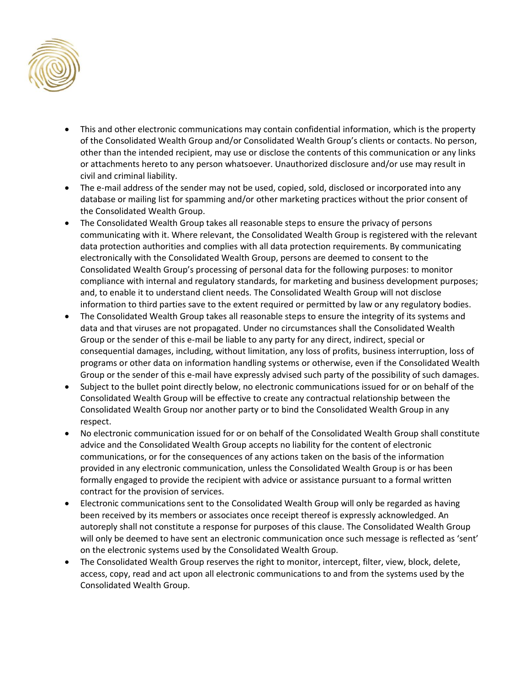

- This and other electronic communications may contain confidential information, which is the property of the Consolidated Wealth Group and/or Consolidated Wealth Group's clients or contacts. No person, other than the intended recipient, may use or disclose the contents of this communication or any links or attachments hereto to any person whatsoever. Unauthorized disclosure and/or use may result in civil and criminal liability.
- The e-mail address of the sender may not be used, copied, sold, disclosed or incorporated into any database or mailing list for spamming and/or other marketing practices without the prior consent of the Consolidated Wealth Group.
- The Consolidated Wealth Group takes all reasonable steps to ensure the privacy of persons communicating with it. Where relevant, the Consolidated Wealth Group is registered with the relevant data protection authorities and complies with all data protection requirements. By communicating electronically with the Consolidated Wealth Group, persons are deemed to consent to the Consolidated Wealth Group's processing of personal data for the following purposes: to monitor compliance with internal and regulatory standards, for marketing and business development purposes; and, to enable it to understand client needs. The Consolidated Wealth Group will not disclose information to third parties save to the extent required or permitted by law or any regulatory bodies.
- The Consolidated Wealth Group takes all reasonable steps to ensure the integrity of its systems and data and that viruses are not propagated. Under no circumstances shall the Consolidated Wealth Group or the sender of this e-mail be liable to any party for any direct, indirect, special or consequential damages, including, without limitation, any loss of profits, business interruption, loss of programs or other data on information handling systems or otherwise, even if the Consolidated Wealth Group or the sender of this e-mail have expressly advised such party of the possibility of such damages.
- Subject to the bullet point directly below, no electronic communications issued for or on behalf of the Consolidated Wealth Group will be effective to create any contractual relationship between the Consolidated Wealth Group nor another party or to bind the Consolidated Wealth Group in any respect.
- No electronic communication issued for or on behalf of the Consolidated Wealth Group shall constitute advice and the Consolidated Wealth Group accepts no liability for the content of electronic communications, or for the consequences of any actions taken on the basis of the information provided in any electronic communication, unless the Consolidated Wealth Group is or has been formally engaged to provide the recipient with advice or assistance pursuant to a formal written contract for the provision of services.
- Electronic communications sent to the Consolidated Wealth Group will only be regarded as having been received by its members or associates once receipt thereof is expressly acknowledged. An autoreply shall not constitute a response for purposes of this clause. The Consolidated Wealth Group will only be deemed to have sent an electronic communication once such message is reflected as 'sent' on the electronic systems used by the Consolidated Wealth Group.
- The Consolidated Wealth Group reserves the right to monitor, intercept, filter, view, block, delete, access, copy, read and act upon all electronic communications to and from the systems used by the Consolidated Wealth Group.